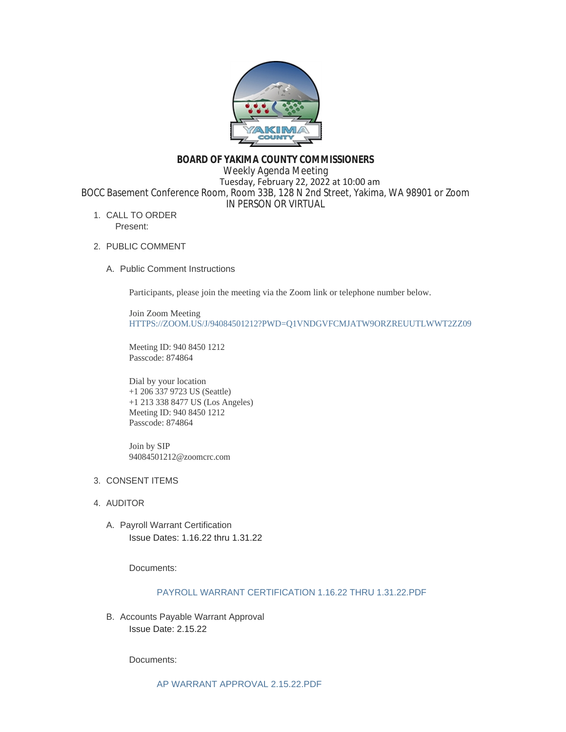

# **BOARD OF YAKIMA COUNTY COMMISSIONERS**

Weekly Agenda Meeting Tuesday, February 22, 2022 at 10:00 am BOCC Basement Conference Room, Room 33B, 128 N 2nd Street, Yakima, WA 98901 or Zoom IN PERSON OR VIRTUAL

1. CALL TO ORDER Present:

# 2. PUBLIC COMMENT

A. Public Comment Instructions

Participants, please join the meeting via the Zoom link or telephone number below.

Join Zoom Meeting [HTTPS://ZOOM.US/J/94084501212?PWD=Q1VNDGVFCMJATW9ORZREUUTLWWT2ZZ09](https://zoom.us/j/94084501212?pwd=Q1VNdGVFcmJaTW9ORzREUUtlWWt2Zz09)

Meeting ID: 940 8450 1212 Passcode: 874864

Dial by your location +1 206 337 9723 US (Seattle) +1 213 338 8477 US (Los Angeles) Meeting ID: 940 8450 1212 Passcode: 874864

Join by SIP 94084501212@zoomcrc.com

# 3. CONSENT ITEMS

- 4. AUDITOR
	- A. Payroll Warrant Certification Issue Dates: 1.16.22 thru 1.31.22

Documents:

# [PAYROLL WARRANT CERTIFICATION 1.16.22 THRU 1.31.22.PDF](https://www.yakimacounty.us/AgendaCenter/ViewFile/Item/3851?fileID=15640)

B. Accounts Payable Warrant Approval Issue Date: 2.15.22

Documents: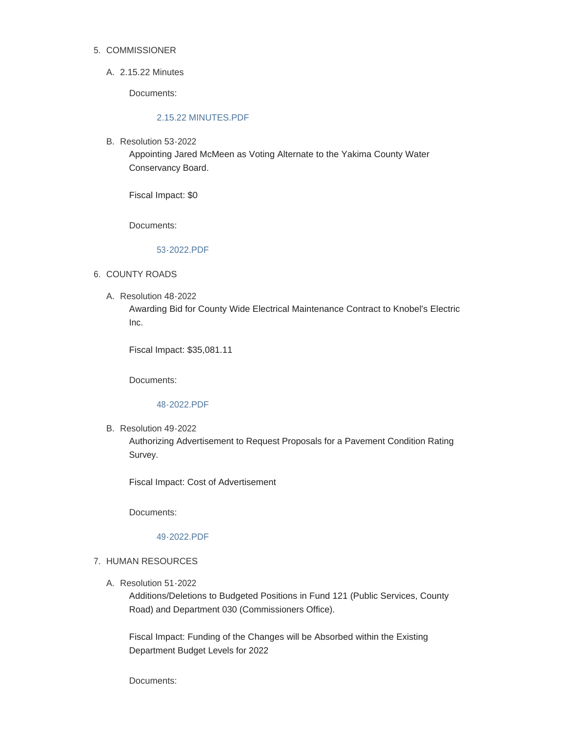## 5. COMMISSIONER

# 2.15.22 Minutes A.

Documents:

# [2.15.22 MINUTES.PDF](https://www.yakimacounty.us/AgendaCenter/ViewFile/Item/3849?fileID=15638)

B. Resolution 53-2022

Appointing Jared McMeen as Voting Alternate to the Yakima County Water Conservancy Board.

Fiscal Impact: \$0

Documents:

# [53-2022.PDF](https://www.yakimacounty.us/AgendaCenter/ViewFile/Item/3880?fileID=15649)

# 6. COUNTY ROADS

Resolution 48-2022 A. Awarding Bid for County Wide Electrical Maintenance Contract to Knobel's Electric Inc.

Fiscal Impact: \$35,081.11

Documents:

## [48-2022.PDF](https://www.yakimacounty.us/AgendaCenter/ViewFile/Item/3874?fileID=15645)

B. Resolution 49-2022

Authorizing Advertisement to Request Proposals for a Pavement Condition Rating Survey.

Fiscal Impact: Cost of Advertisement

Documents:

#### [49-2022.PDF](https://www.yakimacounty.us/AgendaCenter/ViewFile/Item/3875?fileID=15646)

## 7. HUMAN RESOURCES

Resolution 51-2022 A.

Additions/Deletions to Budgeted Positions in Fund 121 (Public Services, County Road) and Department 030 (Commissioners Office).

Fiscal Impact: Funding of the Changes will be Absorbed within the Existing Department Budget Levels for 2022

Documents: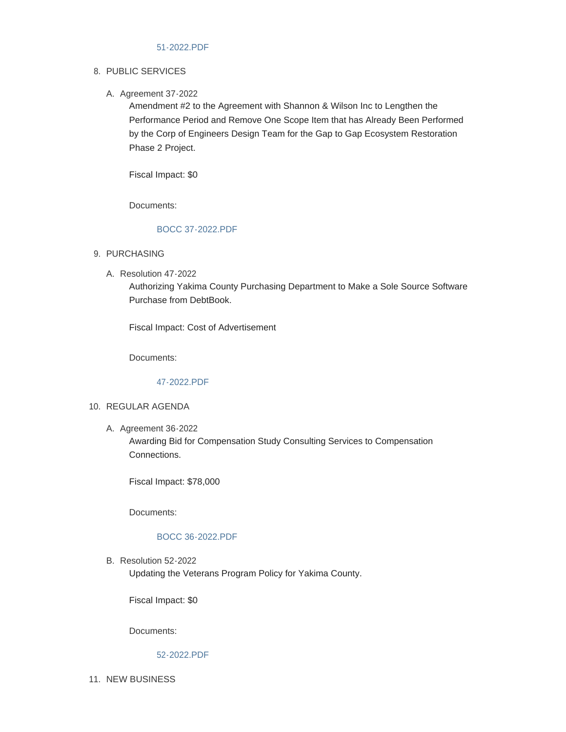### 8. PUBLIC SERVICES

### A. Agreement 37-2022

Amendment #2 to the Agreement with Shannon & Wilson Inc to Lengthen the Performance Period and Remove One Scope Item that has Already Been Performed by the Corp of Engineers Design Team for the Gap to Gap Ecosystem Restoration Phase 2 Project.

Fiscal Impact: \$0

Documents:

# [BOCC 37-2022.PDF](https://www.yakimacounty.us/AgendaCenter/ViewFile/Item/3882?fileID=15651)

### 9. PURCHASING

Resolution 47-2022 A.

Authorizing Yakima County Purchasing Department to Make a Sole Source Software Purchase from DebtBook.

Fiscal Impact: Cost of Advertisement

Documents:

# [47-2022.PDF](https://www.yakimacounty.us/AgendaCenter/ViewFile/Item/3852?fileID=15641)

#### 10. REGULAR AGENDA

A. Agreement 36-2022

Awarding Bid for Compensation Study Consulting Services to Compensation Connections.

Fiscal Impact: \$78,000

Documents:

#### [BOCC 36-2022.PDF](https://www.yakimacounty.us/AgendaCenter/ViewFile/Item/3881?fileID=15650)

B. Resolution 52-2022 Updating the Veterans Program Policy for Yakima County.

Fiscal Impact: \$0

Documents:

[52-2022.PDF](https://www.yakimacounty.us/AgendaCenter/ViewFile/Item/3877?fileID=15648)

11. NEW BUSINESS